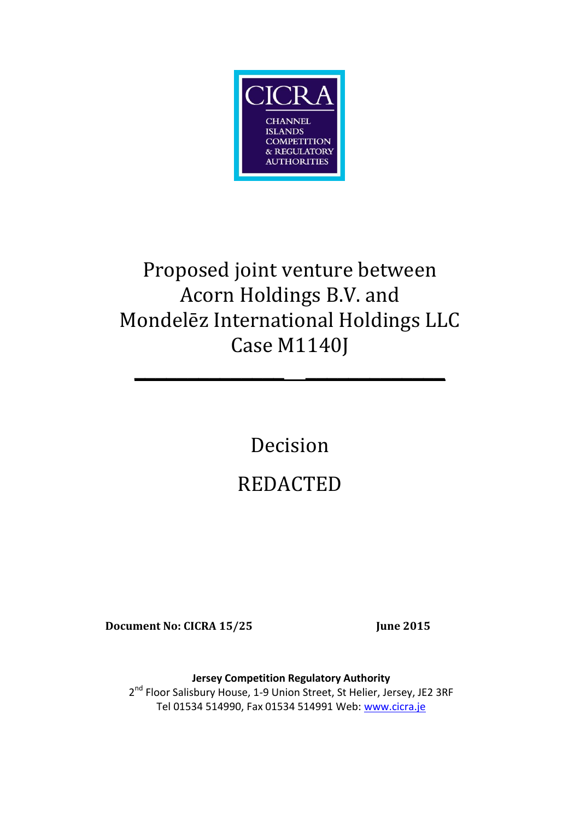

# Proposed joint venture between Acorn Holdings B.V. and Mondelēz International Holdings LLC Case M1140J

**\_\_\_\_\_\_\_\_\_\_\_\_\_\_ \_\_\_\_\_\_\_\_\_\_\_\_\_**

Decision REDACTED

**Document No: CICRA 15/25 June 2015**

**Jersey Competition Regulatory Authority** 2<sup>nd</sup> Floor Salisbury House, 1-9 Union Street, St Helier, Jersey, JE2 3RF Tel 01534 514990, Fax 01534 514991 Web: [www.cicra.je](http://www.cicra.je/)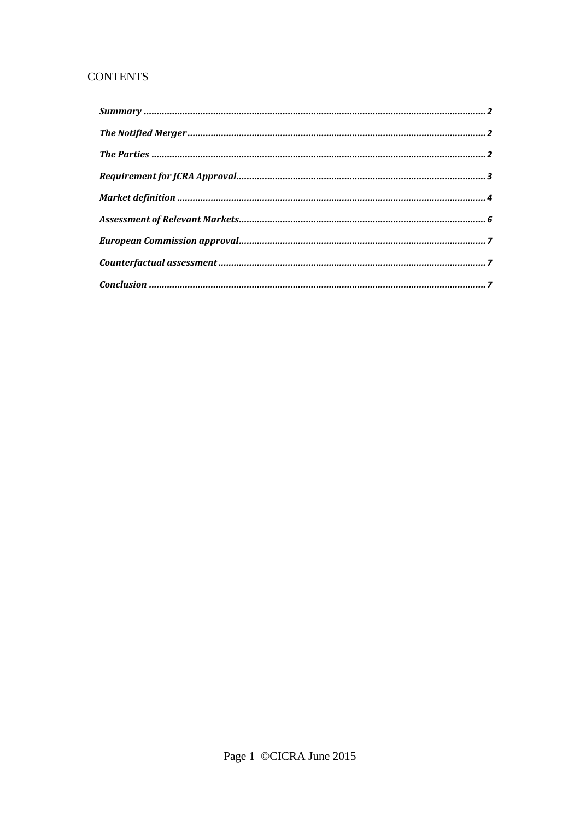# **CONTENTS**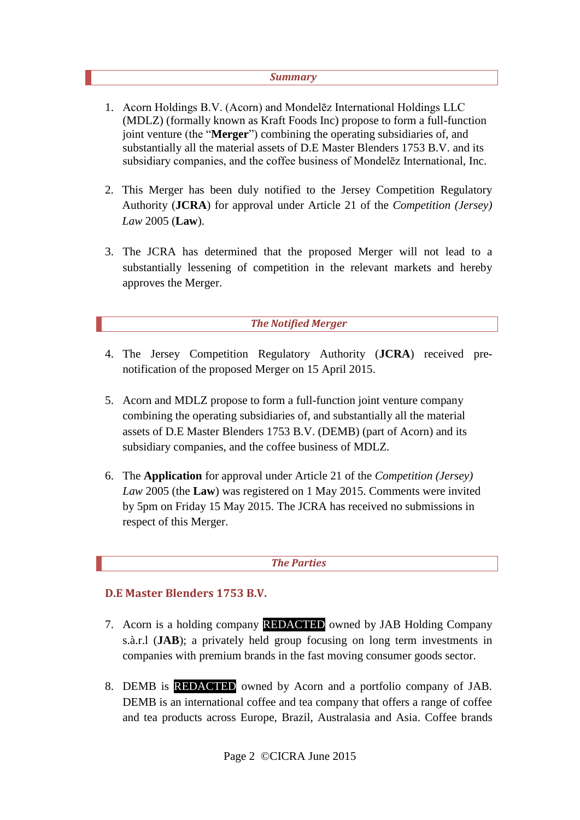#### *Summary*

- <span id="page-2-0"></span>1. Acorn Holdings B.V. (Acorn) and Mondelēz International Holdings LLC (MDLZ) (formally known as Kraft Foods Inc) propose to form a full-function joint venture (the "**Merger**") combining the operating subsidiaries of, and substantially all the material assets of D.E Master Blenders 1753 B.V. and its subsidiary companies, and the coffee business of Mondelēz International, Inc.
- 2. This Merger has been duly notified to the Jersey Competition Regulatory Authority (**JCRA**) for approval under Article 21 of the *Competition (Jersey) Law* 2005 (**Law**).
- 3. The JCRA has determined that the proposed Merger will not lead to a substantially lessening of competition in the relevant markets and hereby approves the Merger.

#### *The Notified Merger*

- <span id="page-2-1"></span>4. The Jersey Competition Regulatory Authority (**JCRA**) received prenotification of the proposed Merger on 15 April 2015.
- 5. Acorn and MDLZ propose to form a full-function joint venture company combining the operating subsidiaries of, and substantially all the material assets of D.E Master Blenders 1753 B.V. (DEMB) (part of Acorn) and its subsidiary companies, and the coffee business of MDLZ.
- 6. The **Application** for approval under Article 21 of the *Competition (Jersey) Law* 2005 (the **Law**) was registered on 1 May 2015. Comments were invited by 5pm on Friday 15 May 2015. The JCRA has received no submissions in respect of this Merger.

#### *The Parties*

## <span id="page-2-2"></span>**D.E Master Blenders 1753 B.V.**

- 7. Acorn is a holding company REDACTED owned by JAB Holding Company s.à.r.l (**JAB**); a privately held group focusing on long term investments in companies with premium brands in the fast moving consumer goods sector.
- 8. DEMB is REDACTED owned by Acorn and a portfolio company of JAB. DEMB is an international coffee and tea company that offers a range of coffee and tea products across Europe, Brazil, Australasia and Asia. Coffee brands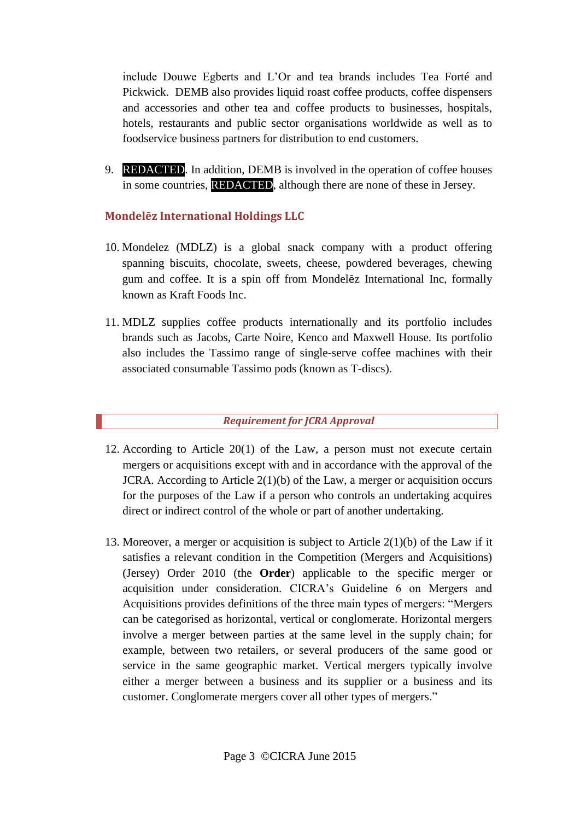include Douwe Egberts and L'Or and tea brands includes Tea Forté and Pickwick. DEMB also provides liquid roast coffee products, coffee dispensers and accessories and other tea and coffee products to businesses, hospitals, hotels, restaurants and public sector organisations worldwide as well as to foodservice business partners for distribution to end customers.

9. REDACTED. In addition, DEMB is involved in the operation of coffee houses in some countries, REDACTED, although there are none of these in Jersey.

## **Mondelēz International Holdings LLC**

- 10. Mondelez (MDLZ) is a global snack company with a product offering spanning biscuits, chocolate, sweets, cheese, powdered beverages, chewing gum and coffee. It is a spin off from Mondelēz International Inc, formally known as Kraft Foods Inc.
- 11. MDLZ supplies coffee products internationally and its portfolio includes brands such as Jacobs, Carte Noire, Kenco and Maxwell House. Its portfolio also includes the Tassimo range of single-serve coffee machines with their associated consumable Tassimo pods (known as T-discs).

#### *Requirement for JCRA Approval*

- <span id="page-3-0"></span>12. According to Article 20(1) of the Law, a person must not execute certain mergers or acquisitions except with and in accordance with the approval of the JCRA. According to Article  $2(1)(b)$  of the Law, a merger or acquisition occurs for the purposes of the Law if a person who controls an undertaking acquires direct or indirect control of the whole or part of another undertaking.
- 13. Moreover, a merger or acquisition is subject to Article 2(1)(b) of the Law if it satisfies a relevant condition in the Competition (Mergers and Acquisitions) (Jersey) Order 2010 (the **Order**) applicable to the specific merger or acquisition under consideration. CICRA's Guideline 6 on Mergers and Acquisitions provides definitions of the three main types of mergers: "Mergers can be categorised as horizontal, vertical or conglomerate. Horizontal mergers involve a merger between parties at the same level in the supply chain; for example, between two retailers, or several producers of the same good or service in the same geographic market. Vertical mergers typically involve either a merger between a business and its supplier or a business and its customer. Conglomerate mergers cover all other types of mergers."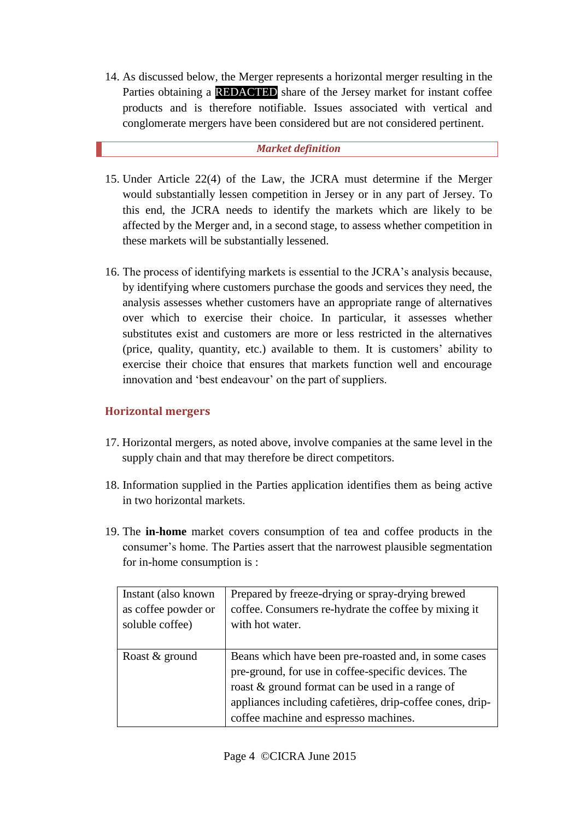14. As discussed below, the Merger represents a horizontal merger resulting in the Parties obtaining a **REDACTED** share of the Jersey market for instant coffee products and is therefore notifiable. Issues associated with vertical and conglomerate mergers have been considered but are not considered pertinent.

## *Market definition*

- <span id="page-4-0"></span>15. Under Article 22(4) of the Law, the JCRA must determine if the Merger would substantially lessen competition in Jersey or in any part of Jersey. To this end, the JCRA needs to identify the markets which are likely to be affected by the Merger and, in a second stage, to assess whether competition in these markets will be substantially lessened.
- 16. The process of identifying markets is essential to the JCRA's analysis because, by identifying where customers purchase the goods and services they need, the analysis assesses whether customers have an appropriate range of alternatives over which to exercise their choice. In particular, it assesses whether substitutes exist and customers are more or less restricted in the alternatives (price, quality, quantity, etc.) available to them. It is customers' ability to exercise their choice that ensures that markets function well and encourage innovation and 'best endeavour' on the part of suppliers.

## **Horizontal mergers**

- 17. Horizontal mergers, as noted above, involve companies at the same level in the supply chain and that may therefore be direct competitors.
- 18. Information supplied in the Parties application identifies them as being active in two horizontal markets.
- 19. The **in-home** market covers consumption of tea and coffee products in the consumer's home. The Parties assert that the narrowest plausible segmentation for in-home consumption is :

| Instant (also known)<br>as coffee powder or | Prepared by freeze-drying or spray-drying brewed<br>coffee. Consumers re-hydrate the coffee by mixing it                                                                                                                                                             |
|---------------------------------------------|----------------------------------------------------------------------------------------------------------------------------------------------------------------------------------------------------------------------------------------------------------------------|
| soluble coffee)                             | with hot water.                                                                                                                                                                                                                                                      |
| Roast & ground                              | Beans which have been pre-roasted and, in some cases<br>pre-ground, for use in coffee-specific devices. The<br>roast & ground format can be used in a range of<br>appliances including cafetières, drip-coffee cones, drip-<br>coffee machine and espresso machines. |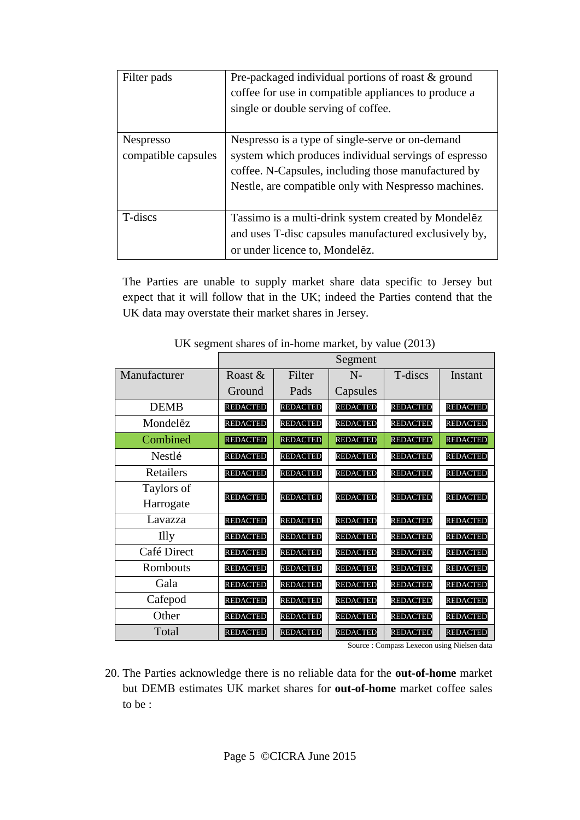| Filter pads                             | Pre-packaged individual portions of roast & ground<br>coffee for use in compatible appliances to produce a<br>single or double serving of coffee.                                                                        |
|-----------------------------------------|--------------------------------------------------------------------------------------------------------------------------------------------------------------------------------------------------------------------------|
| <b>Nespresso</b><br>compatible capsules | Nespresso is a type of single-serve or on-demand<br>system which produces individual servings of espresso<br>coffee. N-Capsules, including those manufactured by<br>Nestle, are compatible only with Nespresso machines. |
| T-discs                                 | Tassimo is a multi-drink system created by Mondelez<br>and uses T-disc capsules manufactured exclusively by,<br>or under licence to, Mondelez.                                                                           |

The Parties are unable to supply market share data specific to Jersey but expect that it will follow that in the UK; indeed the Parties contend that the UK data may overstate their market shares in Jersey.

|              | Segment         |                 |                 |                 |                 |
|--------------|-----------------|-----------------|-----------------|-----------------|-----------------|
| Manufacturer | Roast $\&$      | Filter          | $N-$            | T-discs         | Instant         |
|              | Ground          | Pads            | Capsules        |                 |                 |
| <b>DEMB</b>  | <b>REDACTED</b> | <b>REDACTED</b> | <b>REDACTED</b> | <b>REDACTED</b> | <b>REDACTED</b> |
| Mondelēz     | <b>REDACTED</b> | <b>REDACTED</b> | <b>REDACTED</b> | <b>REDACTED</b> | <b>REDACTED</b> |
| Combined     | <b>REDACTED</b> | <b>REDACTED</b> | <b>REDACTED</b> | <b>REDACTED</b> | <b>REDACTED</b> |
| Nestlé       | <b>REDACTED</b> | <b>REDACTED</b> | <b>REDACTED</b> | <b>REDACTED</b> | <b>REDACTED</b> |
| Retailers    | <b>REDACTED</b> | <b>REDACTED</b> | <b>REDACTED</b> | <b>REDACTED</b> | <b>REDACTED</b> |
| Taylors of   |                 | <b>REDACTED</b> | <b>REDACTED</b> | <b>REDACTED</b> | <b>REDACTED</b> |
| Harrogate    | <b>REDACTED</b> |                 |                 |                 |                 |
| Lavazza      | <b>REDACTED</b> | <b>REDACTED</b> | <b>REDACTED</b> | <b>REDACTED</b> | <b>REDACTED</b> |
| <b>Illy</b>  | <b>REDACTED</b> | <b>REDACTED</b> | <b>REDACTED</b> | <b>REDACTED</b> | <b>REDACTED</b> |
| Café Direct  | <b>REDACTED</b> | <b>REDACTED</b> | <b>REDACTED</b> | <b>REDACTED</b> | <b>REDACTED</b> |
| Rombouts     | <b>REDACTED</b> | <b>REDACTED</b> | <b>REDACTED</b> | <b>REDACTED</b> | <b>REDACTED</b> |
| Gala         | <b>REDACTED</b> | <b>REDACTED</b> | <b>REDACTED</b> | <b>REDACTED</b> | <b>REDACTED</b> |
| Cafepod      | <b>REDACTED</b> | <b>REDACTED</b> | <b>REDACTED</b> | <b>REDACTED</b> | <b>REDACTED</b> |
| Other        | <b>REDACTED</b> | <b>REDACTED</b> | <b>REDACTED</b> | <b>REDACTED</b> | <b>REDACTED</b> |
| Total        | <b>REDACTED</b> | <b>REDACTED</b> | <b>REDACTED</b> | <b>REDACTED</b> | <b>REDACTED</b> |

UK segment shares of in-home market, by value (2013)

Source : Compass Lexecon using Nielsen data

20. The Parties acknowledge there is no reliable data for the **out-of-home** market but DEMB estimates UK market shares for **out-of-home** market coffee sales to be :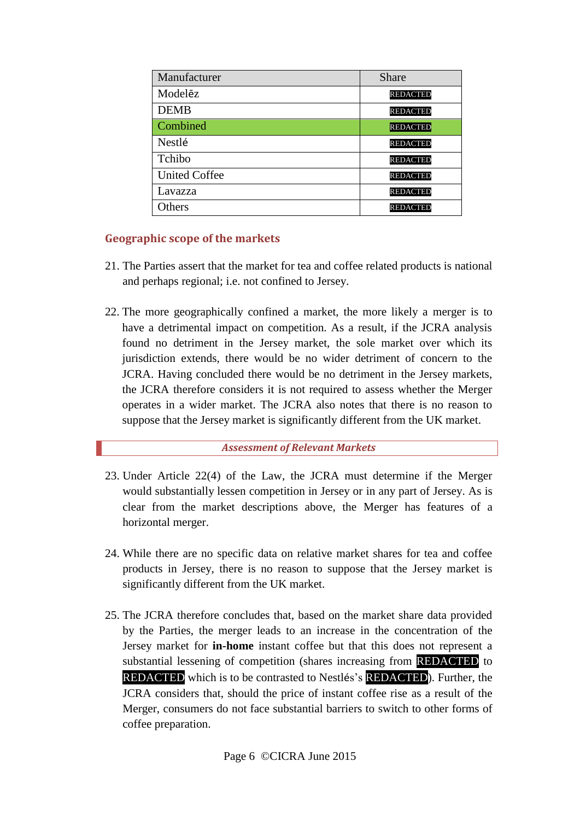| Manufacturer         | Share           |
|----------------------|-----------------|
| Modelēz              | <b>REDACTED</b> |
| <b>DEMB</b>          | <b>REDACTED</b> |
| Combined             | <b>REDACTED</b> |
| Nestlé               | <b>REDACTED</b> |
| Tchibo               | <b>REDACTED</b> |
| <b>United Coffee</b> | <b>REDACTED</b> |
| Lavazza              | <b>REDACTED</b> |
| <b>Others</b>        | <b>REDACTED</b> |

## **Geographic scope of the markets**

- 21. The Parties assert that the market for tea and coffee related products is national and perhaps regional; i.e. not confined to Jersey.
- 22. The more geographically confined a market, the more likely a merger is to have a detrimental impact on competition. As a result, if the JCRA analysis found no detriment in the Jersey market, the sole market over which its jurisdiction extends, there would be no wider detriment of concern to the JCRA. Having concluded there would be no detriment in the Jersey markets, the JCRA therefore considers it is not required to assess whether the Merger operates in a wider market. The JCRA also notes that there is no reason to suppose that the Jersey market is significantly different from the UK market.

## *Assessment of Relevant Markets*

- <span id="page-6-0"></span>23. Under Article 22(4) of the Law, the JCRA must determine if the Merger would substantially lessen competition in Jersey or in any part of Jersey. As is clear from the market descriptions above, the Merger has features of a horizontal merger.
- 24. While there are no specific data on relative market shares for tea and coffee products in Jersey, there is no reason to suppose that the Jersey market is significantly different from the UK market.
- 25. The JCRA therefore concludes that, based on the market share data provided by the Parties, the merger leads to an increase in the concentration of the Jersey market for **in-home** instant coffee but that this does not represent a substantial lessening of competition (shares increasing from REDACTED to REDACTED which is to be contrasted to Nestlés's REDACTED). Further, the JCRA considers that, should the price of instant coffee rise as a result of the Merger, consumers do not face substantial barriers to switch to other forms of coffee preparation.